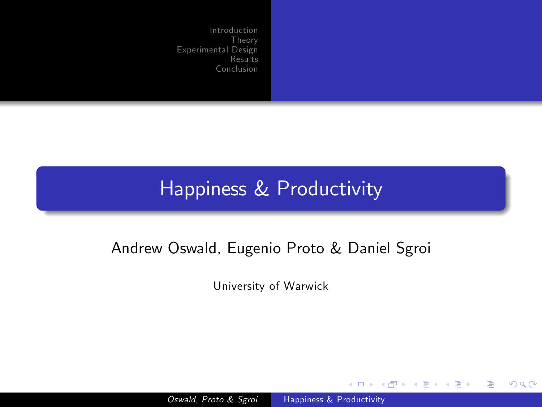#### Happiness & Productivity

#### Andrew Oswald, Eugenio Proto & Daniel Sgroi

University of Warwick

Oswald, Proto & Sgroi [Happiness & Productivity](#page-36-0)

4. 0. 3.

→ 伊 ▶ → 手

<span id="page-0-0"></span> $299$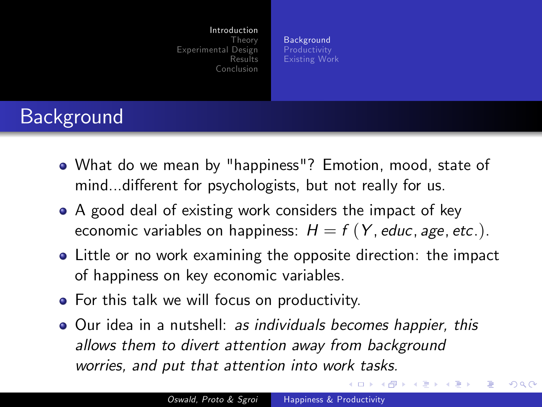**[Background](#page-1-0)** [Productivity](#page-2-0) [Existing Work](#page-3-0)

# **Background**

- What do we mean by "happiness"? Emotion, mood, state of mind...different for psychologists, but not really for us.
- A good deal of existing work considers the impact of key economic variables on happiness:  $H = f(Y, educ, age, etc.).$
- Little or no work examining the opposite direction: the impact of happiness on key economic variables.
- **•** For this talk we will focus on productivity.
- Our idea in a nutshell: as individuals becomes happier, this allows them to divert attention away from background worries, and put that attention into work tasks.

 $\rightarrow$   $\rightarrow$   $\rightarrow$   $\rightarrow$   $\rightarrow$   $\rightarrow$ 

<span id="page-1-0"></span>一 4 三 下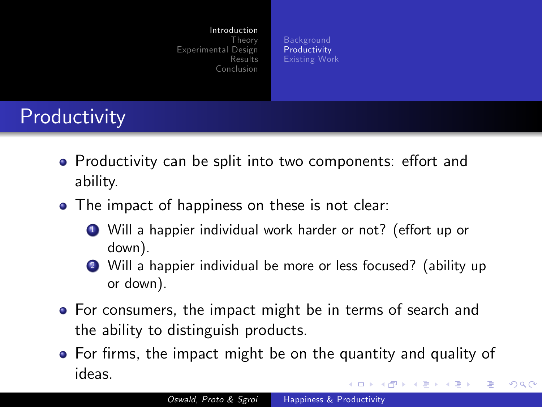<span id="page-2-0"></span>**[Background](#page-1-0)** [Productivity](#page-2-0) [Existing Work](#page-3-0)

# **Productivity**

- Productivity can be split into two components: effort and ability.
- The impact of happiness on these is not clear:
	- Will a happier individual work harder or not? (effort up or down).
	- <sup>2</sup> Will a happier individual be more or less focused? (ability up or down).
- **•** For consumers, the impact might be in terms of search and the ability to distinguish products.
- For firms, the impact might be on the quantity and quality of ideas.  $1.7.1$   $1.7.1$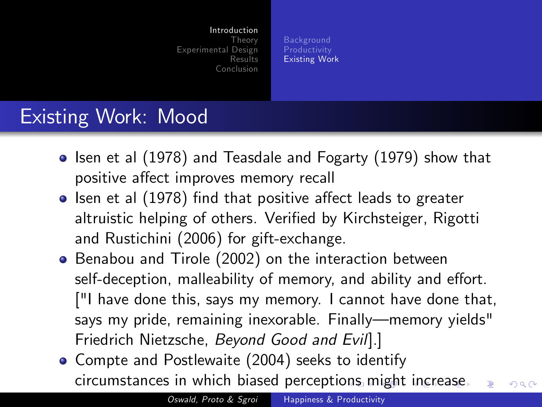<span id="page-3-0"></span>**[Background](#page-1-0)** [Productivity](#page-2-0) [Existing Work](#page-3-0)

#### Existing Work: Mood

- $\bullet$  Isen et al (1978) and Teasdale and Fogarty (1979) show that positive affect improves memory recall
- $\bullet$  Isen et al (1978) find that positive affect leads to greater altruistic helping of others. Verified by Kirchsteiger, Rigotti and Rustichini (2006) for gift-exchange.
- **•** Benabou and Tirole (2002) on the interaction between self-deception, malleability of memory, and ability and effort. ["I have done this, says my memory. I cannot have done that, says my pride, remaining inexorable. Finally—memory yields" Friedrich Nietzsche, Beyond Good and Evil].]
- Compte and Postlewaite (2004) seeks to identify circumstances in which biased percepti[ons](#page-2-0) [m](#page-4-0)[i](#page-2-0)[gh](#page-3-0)[t](#page-4-0) [i](#page-2-0)[n](#page-3-0)[c](#page-5-0)[re](#page-6-0)[a](#page-0-0)[s](#page-1-0)[e](#page-5-0) つくい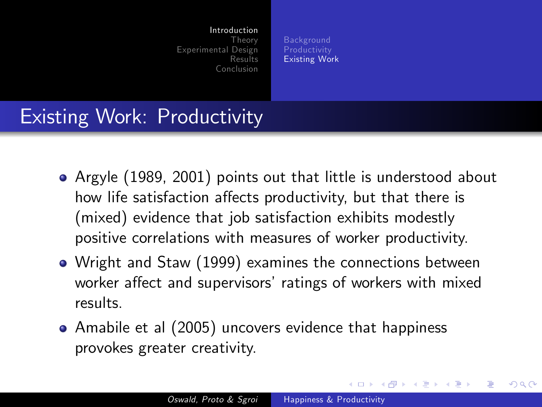**[Background](#page-1-0)** [Productivity](#page-2-0) [Existing Work](#page-3-0)

#### Existing Work: Productivity

- Argyle (1989, 2001) points out that little is understood about how life satisfaction affects productivity, but that there is (mixed) evidence that job satisfaction exhibits modestly positive correlations with measures of worker productivity.
- Wright and Staw (1999) examines the connections between worker affect and supervisors' ratings of workers with mixed results.
- Amabile et al (2005) uncovers evidence that happiness provokes greater creativity.

<span id="page-4-0"></span>a miller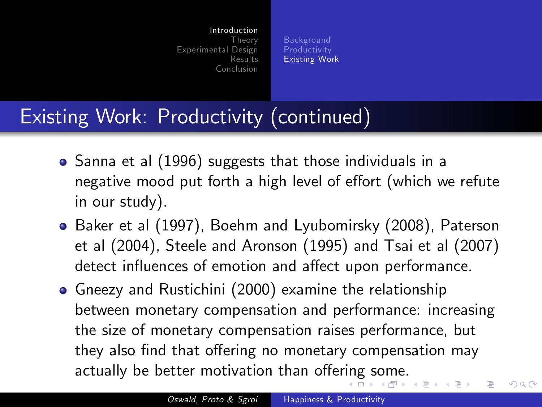<span id="page-5-0"></span>**[Background](#page-1-0)** [Productivity](#page-2-0) [Existing Work](#page-3-0)

#### Existing Work: Productivity (continued)

- Sanna et al (1996) suggests that those individuals in a negative mood put forth a high level of effort (which we refute in our study).
- Baker et al (1997), Boehm and Lyubomirsky (2008), Paterson et al (2004), Steele and Aronson (1995) and Tsai et al (2007) detect influences of emotion and affect upon performance.
- Gneezy and Rustichini (2000) examine the relationship between monetary compensation and performance: increasing the size of monetary compensation raises performance, but they also find that offering no monetary compensation may actually be better motivation than offer[in](#page-4-0)g [s](#page-6-0)[o](#page-4-0)[m](#page-5-0)[e.](#page-6-0)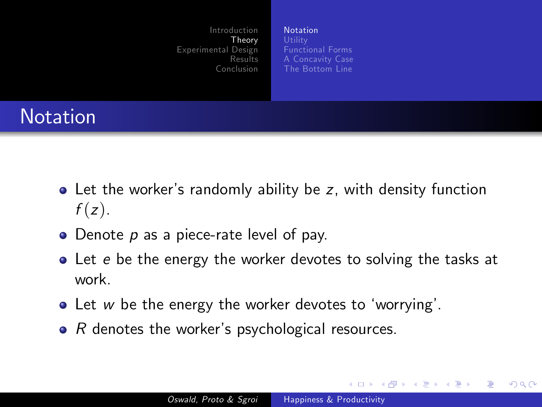[Notation](#page-6-0) [Functional Forms](#page-8-0) [A Concavity Case](#page-9-0) [The Bottom Line](#page-10-0)

# Notation

- Let the worker's randomly ability be z, with density function  $f(z)$ .
- $\bullet$  Denote  $p$  as a piece-rate level of pay.
- Let e be the energy the worker devotes to solving the tasks at work.
- $\bullet$  Let w be the energy the worker devotes to 'worrying'.
- $\bullet$  R denotes the worker's psychological resources.

<span id="page-6-0"></span>4 0 8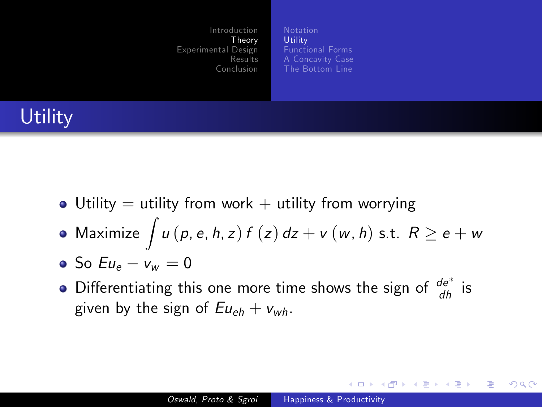**[Utility](#page-7-0)** [Functional Forms](#page-8-0) [A Concavity Case](#page-9-0) [The Bottom Line](#page-10-0)

# **Utility**

- Utility  $=$  utility from work  $+$  utility from worrying
- Maximize  $\int u\left( p, e, h, z\right) f\left( z\right) dz + v\left( w, h\right)$  s.t.  $R\geq e+ w$
- $\bullet$  So  $Eu_{\theta} v_{w} = 0$
- Differentiating this one more time shows the sign of  $\frac{de^*}{dh}$  is given by the sign of  $Eu_{eh} + v_{wh}$ .

<span id="page-7-0"></span>イロト イ伊 ト イヨ ト イヨ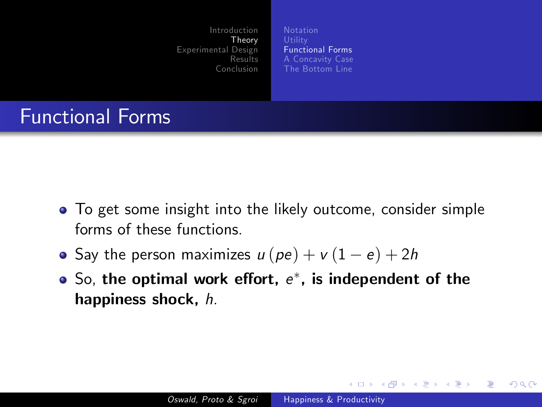[Functional Forms](#page-8-0) [A Concavity Case](#page-9-0) [The Bottom Line](#page-10-0)

#### Functional Forms

- To get some insight into the likely outcome, consider simple forms of these functions.
- Say the person maximizes  $u (pe) + v (1 e) + 2h$
- So, the optimal work effort,  $e^\ast$ , is independent of the happiness shock, h.

<span id="page-8-0"></span>**←ロ ▶ ← ← 冊 ▶**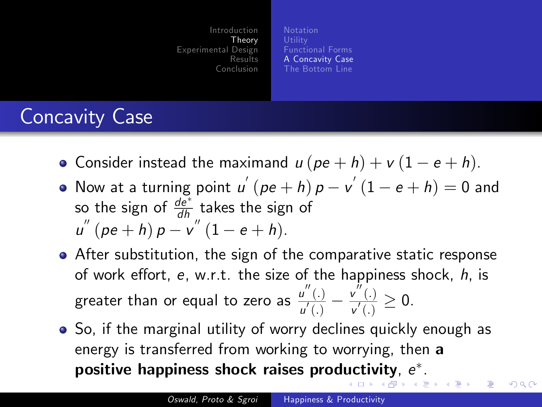<span id="page-9-0"></span>[Functional Forms](#page-8-0) [A Concavity Case](#page-9-0) [The Bottom Line](#page-10-0)

# Concavity Case

- Consider instead the maximand  $u (pe + h) + v (1 e + h)$ .
- Now at a turning point  $u^{'}(pe+h)p v^{'}(1-e+h) = 0$  and so the sign of  $\frac{de^*}{dh}$  takes the sign of  $u^{''}(pe+h) p - v^{''}(1-e+h).$
- After substitution, the sign of the comparative static response of work effort,  $e$ , w.r.t. the size of the happiness shock,  $h$ , is greater than or equal to zero as  $\frac{u''(.)}{u'(.)}$  $\frac{u''(.)}{u'(.)} - \frac{v''(.)}{v'(.)}$  $\frac{\partial v'(0)}{\partial u'(0)} \geq 0.$
- So, if the marginal utility of worry declines quickly enough as energy is transferred from working to worrying, then a positive happiness shock raises prod[uc](#page-8-0)[tiv](#page-10-0)[i](#page-8-0)[ty](#page-9-0)[,](#page-10-0)  $e^\ast$  $e^\ast$ [.](#page-9-0)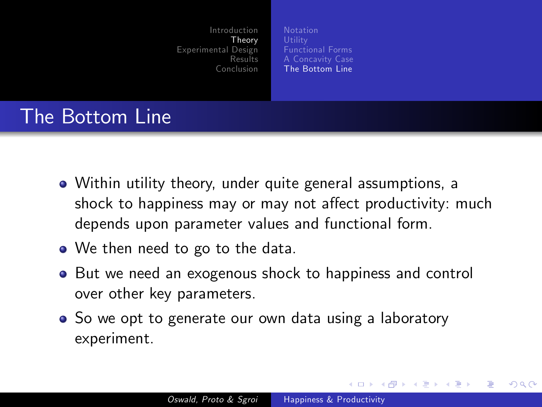[Functional Forms](#page-8-0) [A Concavity Case](#page-9-0) [The Bottom Line](#page-10-0)

## The Bottom Line

- Within utility theory, under quite general assumptions, a shock to happiness may or may not affect productivity: much depends upon parameter values and functional form.
- We then need to go to the data.
- But we need an exogenous shock to happiness and control over other key parameters.
- So we opt to generate our own data using a laboratory experiment.

<span id="page-10-0"></span>**←ロ ▶ ← ← 冊 ▶**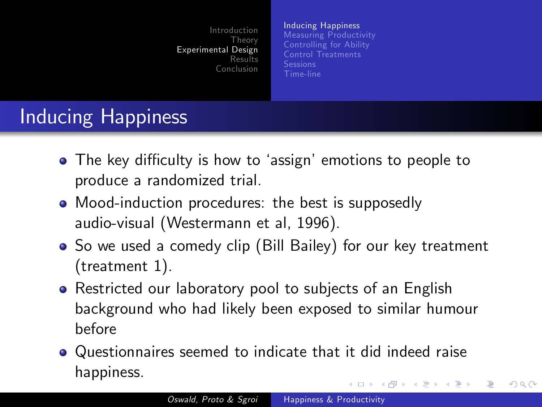<span id="page-11-0"></span>[Inducing Happiness](#page-11-0) [Measuring Productivity](#page-12-0) [Controlling for Ability](#page-13-0) [Control Treatments](#page-15-0) [Time-line](#page-18-0)

# Inducing Happiness

- The key difficulty is how to 'assign' emotions to people to produce a randomized trial.
- Mood-induction procedures: the best is supposedly audio-visual (Westermann et al, 1996).
- So we used a comedy clip (Bill Bailey) for our key treatment (treatment 1).
- Restricted our laboratory pool to subjects of an English background who had likely been exposed to similar humour before
- Questionnaires seemed to indicate that it did indeed raise happiness.  $\leftarrow$   $\leftarrow$   $\leftarrow$   $\leftarrow$   $\leftarrow$   $\leftarrow$   $\leftarrow$   $\leftarrow$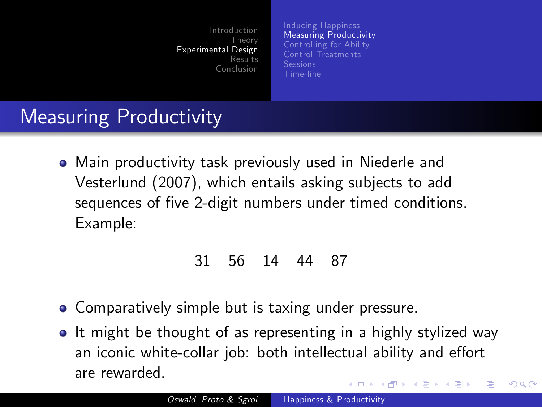[Inducing Happiness](#page-11-0) [Measuring Productivity](#page-12-0) [Controlling for Ability](#page-13-0) [Control Treatments](#page-15-0) [Time-line](#page-18-0)

# Measuring Productivity

Main productivity task previously used in Niederle and Vesterlund (2007), which entails asking subjects to add sequences of five 2-digit numbers under timed conditions. Example:

#### <span id="page-12-0"></span>31 56 14 44 87

- Comparatively simple but is taxing under pressure.
- It might be thought of as representing in a highly stylized way an iconic white-collar job: both intellectual ability and effort are rewarded. ∢ ロ ▶ ( 伊 ) ( ミ ) ( ミ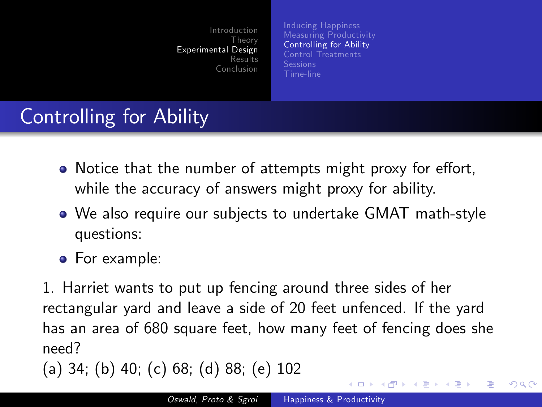[Inducing Happiness](#page-11-0) [Measuring Productivity](#page-12-0) [Controlling for Ability](#page-13-0) [Control Treatments](#page-15-0) [Time-line](#page-18-0)

# Controlling for Ability

- Notice that the number of attempts might proxy for effort, while the accuracy of answers might proxy for ability.
- We also require our subjects to undertake GMAT math-style questions:
- **•** For example:

1. Harriet wants to put up fencing around three sides of her rectangular yard and leave a side of 20 feet unfenced. If the yard has an area of 680 square feet, how many feet of fencing does she need?

$$
(a) 34; (b) 40; (c) 68; (d) 88; (e) 102
$$

<span id="page-13-0"></span>**←ロ ▶ ← ← 冊 ▶**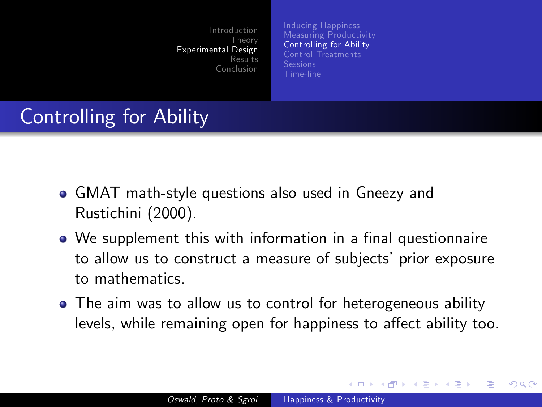[Inducing Happiness](#page-11-0) [Measuring Productivity](#page-12-0) [Controlling for Ability](#page-13-0) [Control Treatments](#page-15-0) [Time-line](#page-18-0)

# Controlling for Ability

- GMAT math-style questions also used in Gneezy and Rustichini (2000).
- We supplement this with information in a final questionnaire to allow us to construct a measure of subjects' prior exposure to mathematics.
- The aim was to allow us to control for heterogeneous ability levels, while remaining open for happiness to affect ability too.

**∢ロト ∢母 ト ∢ ヨ ト**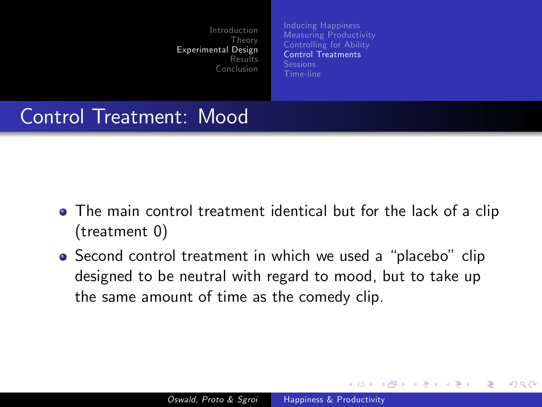[Inducing Happiness](#page-11-0) [Measuring Productivity](#page-12-0) [Controlling for Ability](#page-13-0) [Control Treatments](#page-15-0) [Time-line](#page-18-0)

#### Control Treatment: Mood

- The main control treatment identical but for the lack of a clip (treatment 0)
- Second control treatment in which we used a "placebo" clip designed to be neutral with regard to mood, but to take up the same amount of time as the comedy clip.

<span id="page-15-0"></span>**← ロ ▶ → イ 冊**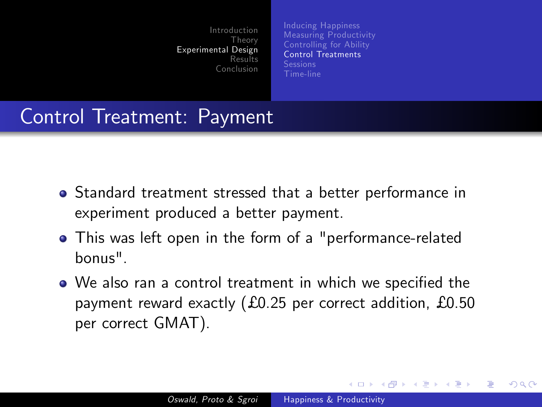[Inducing Happiness](#page-11-0) [Measuring Productivity](#page-12-0) [Controlling for Ability](#page-13-0) [Control Treatments](#page-15-0) [Time-line](#page-18-0)

#### Control Treatment: Payment

- Standard treatment stressed that a better performance in experiment produced a better payment.
- This was left open in the form of a "performance-related bonus".
- We also ran a control treatment in which we specified the payment reward exactly  $(£0.25$  per correct addition, £0.50 per correct GMAT).

**K ロ ▶ K 何 ▶**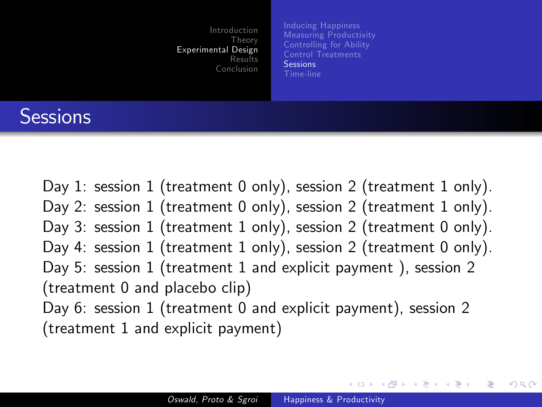[Inducing Happiness](#page-11-0) [Measuring Productivity](#page-12-0) [Controlling for Ability](#page-13-0) [Control Treatments](#page-15-0) [Sessions](#page-17-0) [Time-line](#page-18-0)

#### **Sessions**

Day 1: session 1 (treatment 0 only), session 2 (treatment 1 only). Day 2: session 1 (treatment 0 only), session 2 (treatment 1 only). Day 3: session 1 (treatment 1 only), session 2 (treatment 0 only). Day 4: session 1 (treatment 1 only), session 2 (treatment 0 only). Day 5: session 1 (treatment 1 and explicit payment ), session 2 (treatment 0 and placebo clip) Day 6: session 1 (treatment 0 and explicit payment), session 2 (treatment 1 and explicit payment)

<span id="page-17-0"></span>∢ロト ∢母ト ∢きト ∢きト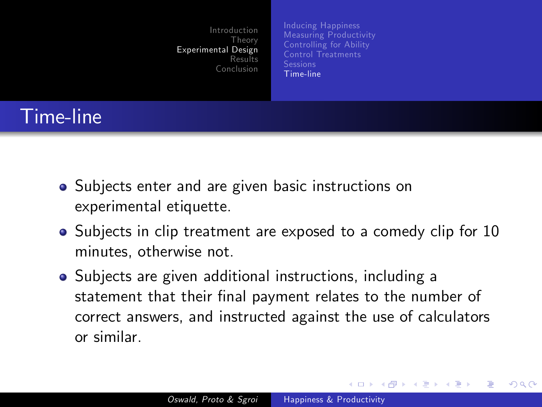[Inducing Happiness](#page-11-0) [Measuring Productivity](#page-12-0) [Controlling for Ability](#page-13-0) [Control Treatments](#page-15-0) [Time-line](#page-18-0)

# Time-line

- Subjects enter and are given basic instructions on experimental etiquette.
- Subjects in clip treatment are exposed to a comedy clip for 10 minutes, otherwise not.
- Subjects are given additional instructions, including a statement that their final payment relates to the number of correct answers, and instructed against the use of calculators or similar.

<span id="page-18-0"></span>**←ロ ▶ ← ← 冊 ▶**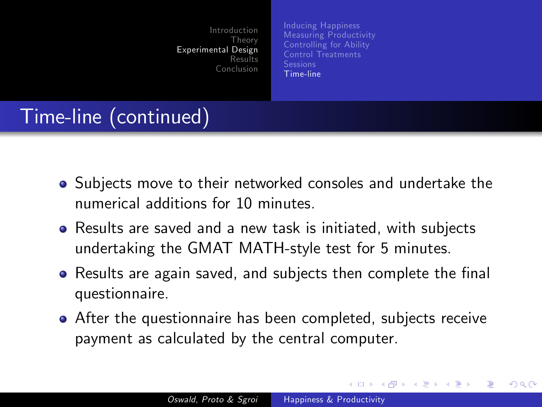[Inducing Happiness](#page-11-0) [Measuring Productivity](#page-12-0) [Controlling for Ability](#page-13-0) [Control Treatments](#page-15-0) [Time-line](#page-18-0)

## Time-line (continued)

- Subjects move to their networked consoles and undertake the numerical additions for 10 minutes.
- Results are saved and a new task is initiated, with subjects undertaking the GMAT MATH-style test for 5 minutes.
- Results are again saved, and subjects then complete the final questionnaire.
- After the questionnaire has been completed, subjects receive payment as calculated by the central computer.

**←ロ ▶ ← ← 冊 ▶**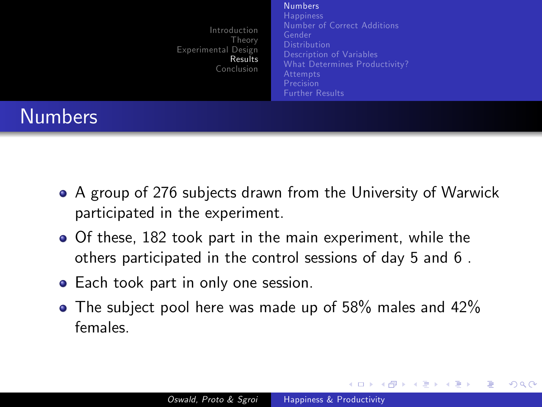#### [Numbers](#page-20-0)

**[Happiness](#page-22-0)** [Number of Correct Additions](#page-24-0) [Description of Variables](#page-28-0) [What Determines Productivity?](#page-29-0) [Further Results](#page-32-0)

**K ロ ▶ K 何 ▶** 

<span id="page-20-0"></span>つくい

# Numbers

- A group of 276 subjects drawn from the University of Warwick participated in the experiment.
- Of these, 182 took part in the main experiment, while the others participated in the control sessions of day 5 and 6 .
- Each took part in only one session.
- $\bullet$  The subject pool here was made up of 58% males and 42% females.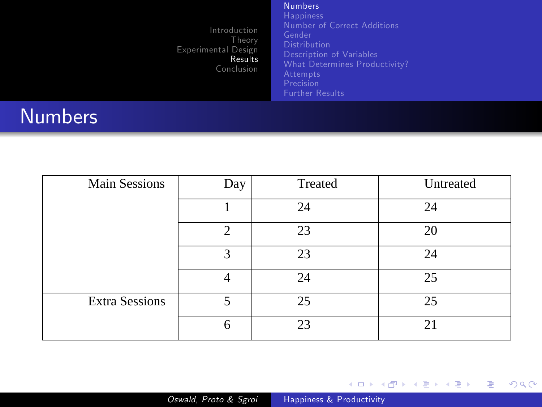#### **[Numbers](#page-20-0)**

[Number of Correct Additions](#page-24-0) [What Determines Productivity?](#page-29-0) [Precision](#page-31-0) [Further Results](#page-32-0)

## Numbers

| <b>Main Sessions</b>  | Day           | Treated | Untreated |
|-----------------------|---------------|---------|-----------|
|                       |               | 24      | 24        |
|                       | $\mathcal{D}$ | 23      | 20        |
|                       | 3             | 23      | 24        |
|                       |               | 24      | 25        |
| <b>Extra Sessions</b> | 5             | 25      | 25        |
|                       | 6             | 23      | 21        |

メロトメ 伊 トメ ミトメ ミト 目  $299$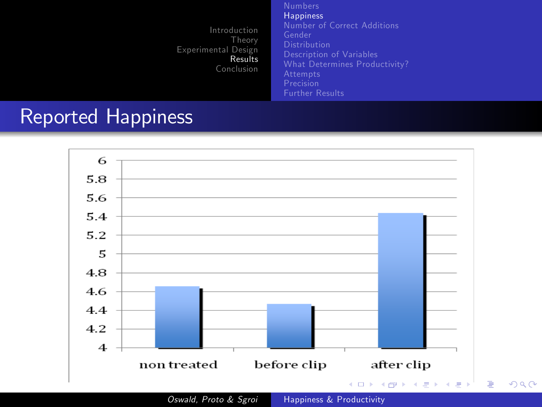[Happiness](#page-22-0) [Number of Correct Additions](#page-24-0) [Description of Variables](#page-28-0) [What Determines Productivity?](#page-29-0) [Precision](#page-31-0) [Further Results](#page-32-0)

<span id="page-22-0"></span> $299$ 

#### Reported Happiness



Oswald, Proto & Sgroi [Happiness & Productivity](#page-0-0)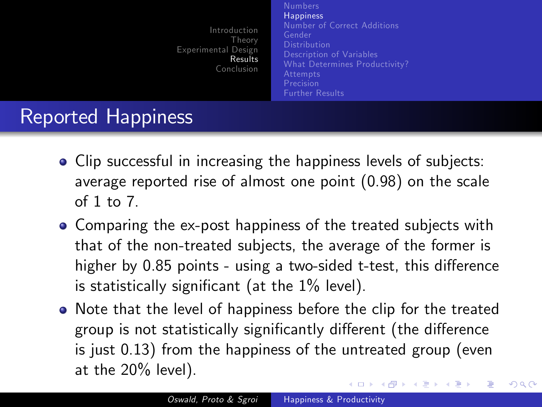[Numbers](#page-20-0) **[Happiness](#page-22-0)** [Number of Correct Additions](#page-24-0) [Description of Variables](#page-28-0) [What Determines Productivity?](#page-29-0) [Further Results](#page-32-0)

つくい

## Reported Happiness

- Clip successful in increasing the happiness levels of subjects: average reported rise of almost one point (0.98) on the scale of 1 to 7.
- Comparing the ex-post happiness of the treated subjects with that of the non-treated subjects, the average of the former is higher by 0.85 points - using a two-sided t-test, this difference is statistically significant (at the  $1\%$  level).
- Note that the level of happiness before the clip for the treated group is not statistically significantly different (the difference is just 0.13) from the happiness of the untreated group (even at the 20% level). メロメ メ母メ メミメ メミメ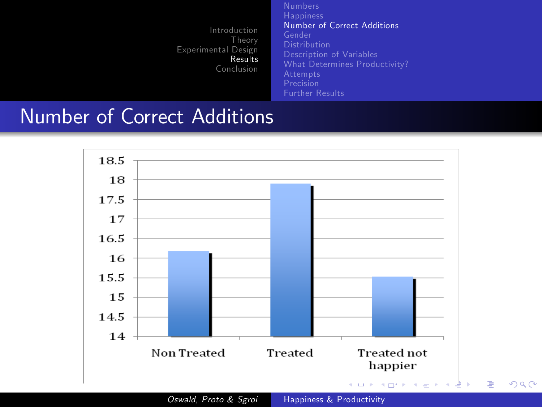[Number of Correct Additions](#page-24-0) [Description of Variables](#page-28-0) [What Determines Productivity?](#page-29-0) [Precision](#page-31-0) [Further Results](#page-32-0)

#### Number of Correct Additions



<span id="page-24-0"></span>Figure 1999 and the control of Oswald, Proto & Sgroi [Happiness & Productivity](#page-0-0)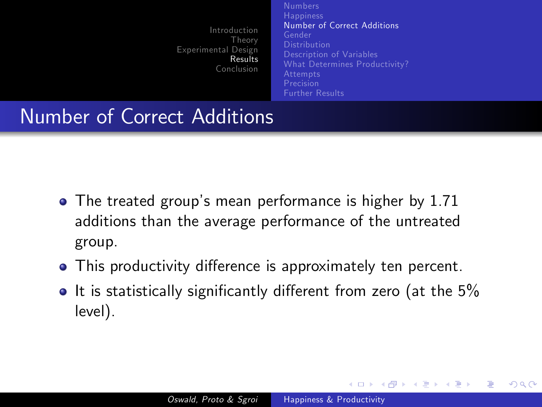[Number of Correct Additions](#page-24-0) [Description of Variables](#page-28-0) [What Determines Productivity?](#page-29-0) [Further Results](#page-32-0)

**◆ ロ ▶ → 何** 

つくい

#### Number of Correct Additions

- The treated group's mean performance is higher by 1.71 additions than the average performance of the untreated group.
- This productivity difference is approximately ten percent.
- $\bullet$  It is statistically significantly different from zero (at the 5% level).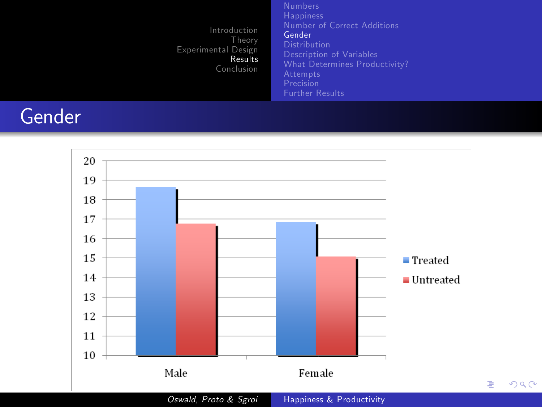[Number of Correct Additions](#page-24-0) [Gender](#page-26-0) [What Determines Productivity?](#page-29-0) [Precision](#page-31-0) [Further Results](#page-32-0)

<span id="page-26-0"></span> $299$ 

# Gender

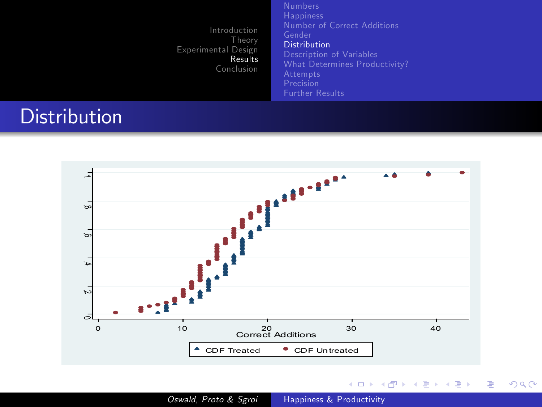[Number of Correct Additions](#page-24-0) **[Distribution](#page-27-0)** [Description of Variables](#page-28-0) [What Determines Productivity?](#page-29-0) [Precision](#page-31-0) [Further Results](#page-32-0)

**K ロト K 伊 ト K 毛** 

 $\equiv$ 

 $\,$  $\prec$  $\,$  ŧ

<span id="page-27-0"></span> $299$ 

#### **Distribution**



Oswald, Proto & Sgroi [Happiness & Productivity](#page-0-0)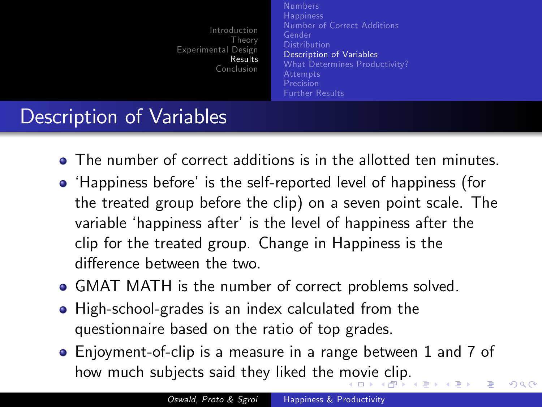[Numbers](#page-20-0) **[Happiness](#page-22-0)** [Number of Correct Additions](#page-24-0) [Description of Variables](#page-28-0) [What Determines Productivity?](#page-29-0) [Further Results](#page-32-0)

<span id="page-28-0"></span>つくい

## Description of Variables

- **The number of correct additions is in the allotted ten minutes.**
- 'Happiness before' is the self-reported level of happiness (for the treated group before the clip) on a seven point scale. The variable 'happiness after' is the level of happiness after the clip for the treated group. Change in Happiness is the di§erence between the two.
- GMAT MATH is the number of correct problems solved.
- High-school-grades is an index calculated from the questionnaire based on the ratio of top grades.
- Enjoyment-of-clip is a measure in a range between 1 and 7 of how much subjects said they liked the [mo](#page-27-0)[vie](#page-29-0)[cli](#page-28-0)[p](#page-29-0)[.](#page-27-0)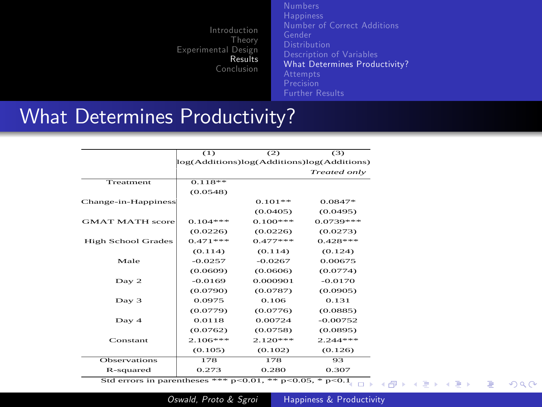[Number of Correct Additions](#page-24-0) [What Determines Productivity?](#page-29-0) [Precision](#page-31-0) [Further Results](#page-32-0)

#### What Determines Productivity?

|                           | (1)                                        | (2)        | (3)          |
|---------------------------|--------------------------------------------|------------|--------------|
|                           | log(Additions)log(Additions)log(Additions) |            |              |
|                           |                                            |            | Treated only |
| Treatment                 | $0.118***$                                 |            |              |
|                           | (0.0548)                                   |            |              |
| Change-in-Happiness       |                                            | $0.101***$ | $0.0847*$    |
|                           |                                            | (0.0405)   | (0.0495)     |
| <b>GMAT MATH score</b>    | $0.104***$                                 | $0.100***$ | $0.0739***$  |
|                           | (0.0226)                                   | (0.0226)   | (0.0273)     |
| <b>High School Grades</b> | $0.471***$                                 | $0.477***$ | $0.428***$   |
|                           | (0.114)                                    | (0.114)    | (0.124)      |
| Male                      | $-0.0257$                                  | $-0.0267$  | 0.00675      |
|                           | (0.0609)                                   | (0.0606)   | (0.0774)     |
| Day 2                     | $-0.0169$                                  | 0.000901   | $-0.0170$    |
|                           | (0.0790)                                   | (0.0787)   | (0.0905)     |
| Day 3                     | 0.0975                                     | 0.106      | 0.131        |
|                           | (0.0779)                                   | (0.0776)   | (0.0885)     |
| Day 4                     | 0.0118                                     | 0.00724    | $-0.00752$   |
|                           | (0.0762)                                   | (0.0758)   | (0.0895)     |
| Constant                  | $2.106***$                                 | $2.120***$ | $2.244***$   |
|                           | (0.105)                                    | (0.102)    | (0.126)      |
| Observations              | 178                                        | 178        | 93           |
| R-squared                 | 0.273                                      | 0.280      | 0.307        |

Std errors in parentheses \*\*\* p<0.01, \*\* p<0.05, \* p<0[.1](#page-28-0)<sub>( $\Box$ )</sub> ( $\Box$ ) ( $\Box$ )

<span id="page-29-0"></span> $299$ 

重き э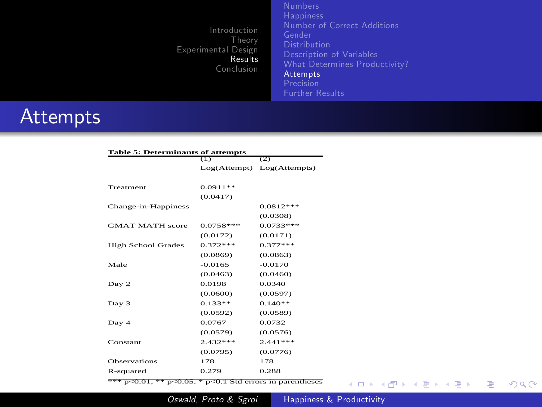[Number of Correct Additions](#page-24-0) [What Determines Productivity?](#page-29-0) **[Attempts](#page-30-0)** [Precision](#page-31-0) [Further Results](#page-32-0)

#### **Attempts**

| <b>Table 5: Determinants of attempts</b> |             |                            |  |  |
|------------------------------------------|-------------|----------------------------|--|--|
|                                          | ΩŒ          | (2)                        |  |  |
|                                          |             | Log(Attempt) Log(Attempts) |  |  |
|                                          |             |                            |  |  |
| Treatment                                | 0.0911**    |                            |  |  |
|                                          | (0.0417)    |                            |  |  |
| Change-in-Happiness                      |             | $0.0812***$                |  |  |
|                                          |             | (0.0308)                   |  |  |
| <b>GMAT MATH</b> score                   | $0.0758***$ | $0.0733***$                |  |  |
|                                          | (0.0172)    | (0.0171)                   |  |  |
| <b>High School Grades</b>                | $0.372***$  | $0.377***$                 |  |  |
|                                          | (0.0869)    | (0.0863)                   |  |  |
| Male                                     | $-0.0165$   | $-0.0170$                  |  |  |
|                                          | (0.0463)    | (0.0460)                   |  |  |
| Day 2                                    | 0.0198      | 0.0340                     |  |  |
|                                          | (0.0600)    | (0.0597)                   |  |  |
| Day 3                                    | $0.133***$  | $0.140***$                 |  |  |
|                                          | (0.0592)    | (0.0589)                   |  |  |
| Dav <sub>4</sub>                         | 0.0767      | 0.0732                     |  |  |
|                                          | (0.0579)    | (0.0576)                   |  |  |
| Constant                                 | $2.432***$  | $2.441***$                 |  |  |
|                                          | (0.0795)    | (0.0776)                   |  |  |
| <b>Observations</b>                      | 178         | 178                        |  |  |
| R-squared                                | 0.279       | 0.288                      |  |  |

\*\*\*  $p<0.01$ , \*\*  $p<0.05$ , \*  $p<0.1$  Std errors in parentheses

メロメ メタメ メミメ メミメ

E

<span id="page-30-0"></span> $299$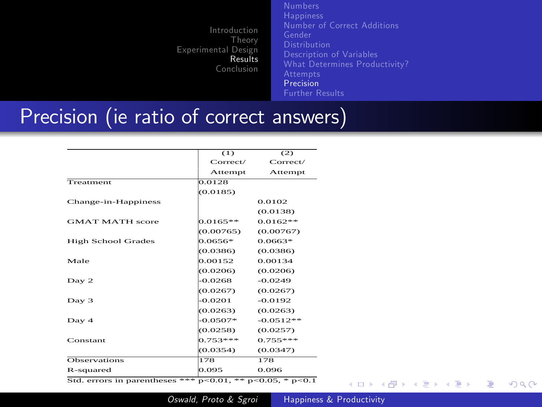[Number of Correct Additions](#page-24-0) [What Determines Productivity?](#page-29-0) [Precision](#page-31-0) [Further Results](#page-32-0)

#### Precision (ie ratio of correct answers)

|                           | (1)         | (2)          |
|---------------------------|-------------|--------------|
|                           | Correct/    | Correct/     |
|                           | Attempt     | Attempt      |
| Treatment                 | 0.0128      |              |
|                           | (0.0185)    |              |
| Change-in-Happiness       |             | 0.0102       |
|                           |             | (0.0138)     |
| <b>GMAT MATH score</b>    | $0.0165***$ | $0.0162***$  |
|                           | (0.00765)   | (0.00767)    |
| <b>High School Grades</b> | 0.0656*     | 0.0663*      |
|                           | (0.0386)    | (0.0386)     |
| Male                      | 0.00152     | 0.00134      |
|                           | (0.0206)    | (0.0206)     |
| Day 2                     | -0.0268     | $-0.0249$    |
|                           | (0.0267)    | (0.0267)     |
| Day 3                     | $-0.0201$   | $-0.0192$    |
|                           | (0.0263)    | (0.0263)     |
| Dav <sub>4</sub>          | $-0.0507*$  | $-0.0512***$ |
|                           | (0.0258)    | (0.0257)     |
| Constant                  | $0.753***$  | $0.755***$   |
|                           | (0.0354)    | (0.0347)     |
| <b>Observations</b>       | 178         | 178          |
| R-squared                 | 0.095       | 0.096        |

Std. errors in parentheses \*\*\*  $p<0.01$ , \*\*  $p<0.05$ , \*  $p<0.1$ 

**←ロ ▶ ← ← 冊 ▶** 

∍

<span id="page-31-0"></span> $299$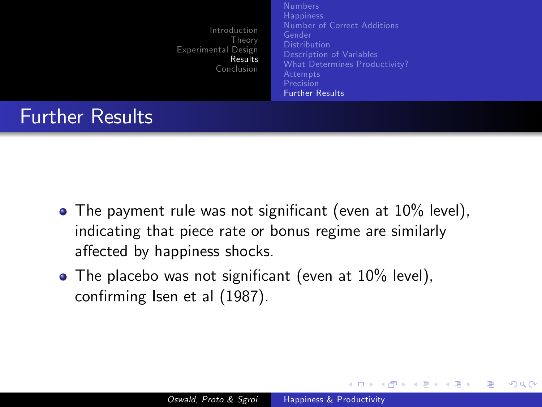[Number of Correct Additions](#page-24-0) [Description of Variables](#page-28-0) [What Determines Productivity?](#page-29-0) [Further Results](#page-32-0)

**∢ロト ∢母 ト ∢ ヨ ト** 

<span id="page-32-0"></span>つくへ

#### Further Results

- $\bullet$  The payment rule was not significant (even at 10% level), indicating that piece rate or bonus regime are similarly affected by happiness shocks.
- $\bullet$  The placebo was not significant (even at 10% level), confirming Isen et al (1987).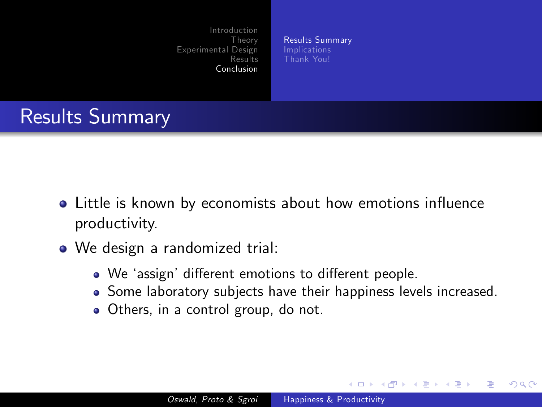[Results Summary](#page-33-0) [Thank You!](#page-36-0)

## Results Summary

- Little is known by economists about how emotions influence productivity.
- We design a randomized trial:
	- We 'assign' different emotions to different people.
	- Some laboratory subjects have their happiness levels increased.

and in

<span id="page-33-0"></span>つくい

• Others, in a control group, do not.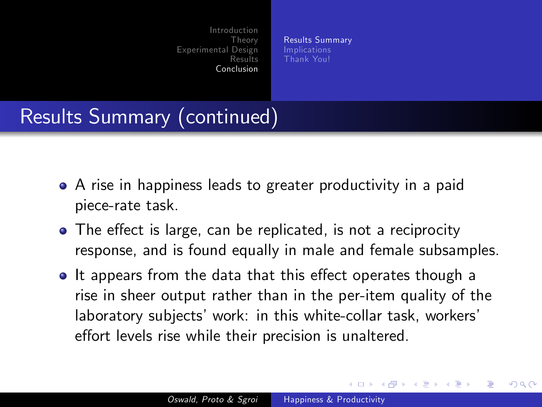[Results Summary](#page-33-0) [Thank You!](#page-36-0)

# Results Summary (continued)

- A rise in happiness leads to greater productivity in a paid piece-rate task.
- The effect is large, can be replicated, is not a reciprocity response, and is found equally in male and female subsamples.
- It appears from the data that this effect operates though a rise in sheer output rather than in the per-item quality of the laboratory subjects' work: in this white-collar task, workers' effort levels rise while their precision is unaltered.

4 17 18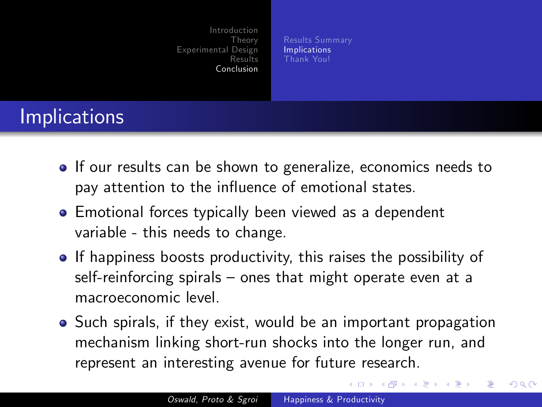[Results Summary](#page-33-0) [Implications](#page-35-0) [Thank You!](#page-36-0)

# Implications

- **If our results can be shown to generalize, economics needs to** pay attention to the influence of emotional states.
- Emotional forces typically been viewed as a dependent variable - this needs to change.
- **If happiness boosts productivity, this raises the possibility of** self-reinforcing spirals  $-$  ones that might operate even at a macroeconomic level.
- Such spirals, if they exist, would be an important propagation mechanism linking short-run shocks into the longer run, and represent an interesting avenue for future research.

<span id="page-35-0"></span>∢ □ ▶ ∢ 何 ▶ ∢ ∃